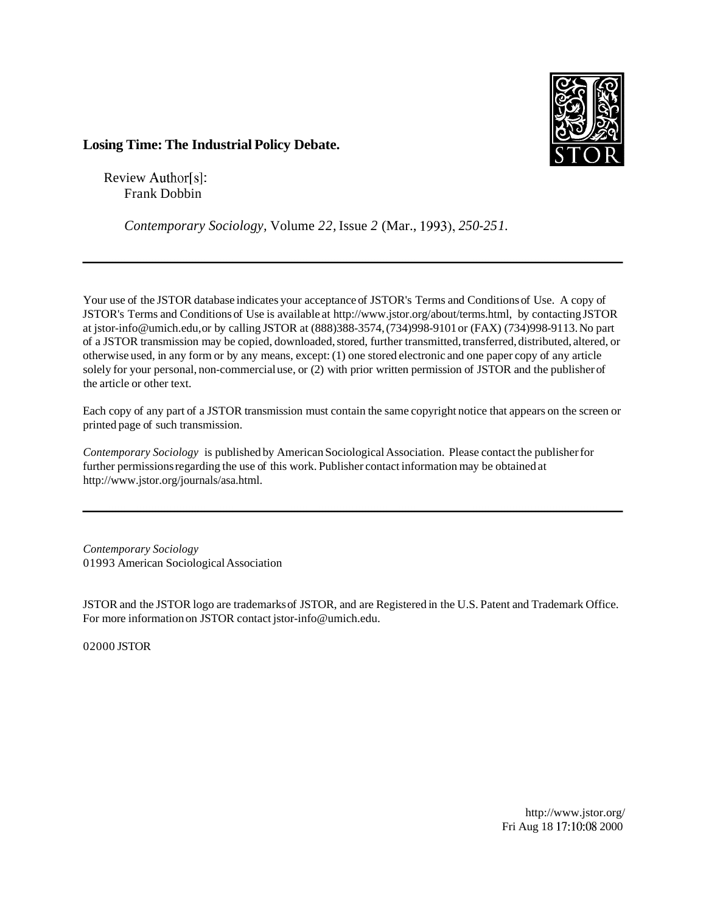

## **Losing Time: The Industrial Policy Debate.**

Review Author[s]: Frank Dobbin

*Contemporary Sociology,* Volume *22,* Issue *2* (Mar., *1993), 250-25 1.* 

Your use of the JSTOR database indicates your acceptance of JSTOR's Terms and Conditions of Use. A copy of JSTOR's Terms and Conditions of Use is available at http://www.jstor.org/about/terms.html, by contacting JSTOR at jstor-info@umich.edu, or by calling JSTOR at (888)388-3574, (734)998-9101 or (FAX) (734)998-9113. No part of a JSTOR transmission may be copied, downloaded, stored, further transmitted, transferred, distributed, altered, or otherwise used, in any form or by any means, except: (1) one stored electronic and one paper copy of any article solely for your personal, non-commercial use, or (2) with prior written permission of JSTOR and the publisher of the article or other text.

Each copy of any part of a JSTOR transmission must contain the same copyright notice that appears on the screen or printed page of such transmission.

*Contemporary Sociology* is published by American Sociological Association. Please contact the publisher for further permissions regarding the use of this work. Publisher contact information may be obtained at http://www.jstor.org/journals/asa.html.

*Contemporary Sociology*  01993 American Sociological Association

JSTOR and the JSTOR logo are trademarks of JSTOR, and are Registered in the U.S. Patent and Trademark Office. For more information on JSTOR contact jstor-info@umich.edu.

02000 JSTOR

http://www.jstor.org/ Fri Aug 18 17:10:08 2000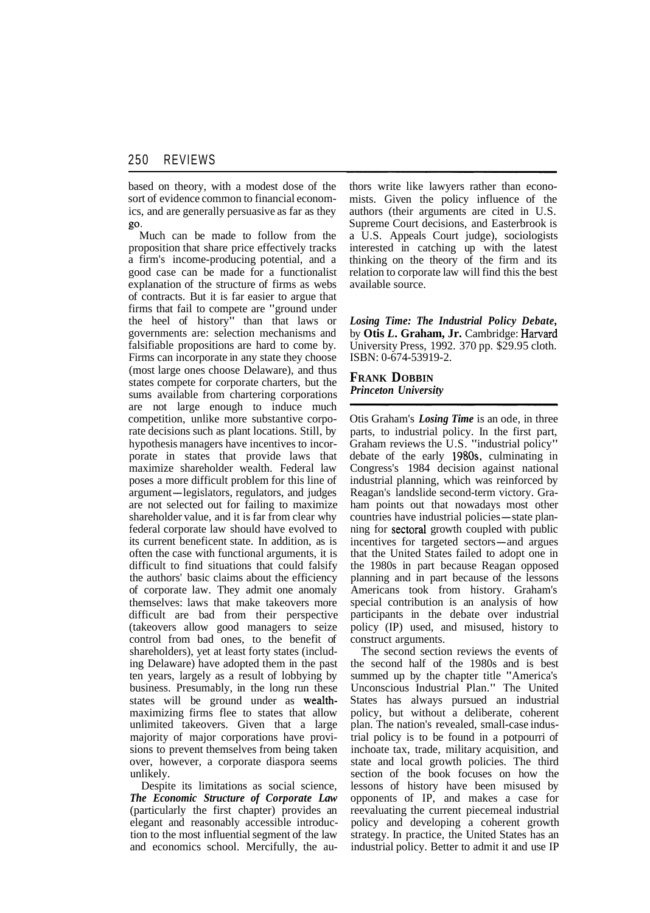based on theory, with a modest dose of the sort of evidence common to financial economics, and are generally persuasive as far as they

go. Much can be made to follow from the proposition that share price effectively tracks a firm's income-producing potential, and a good case can be made for a functionalist explanation of the structure of firms as webs of contracts. But it is far easier to argue that firms that fail to compete are "ground under the heel of history" than that laws or governments are: selection mechanisms and falsifiable propositions are hard to come by. Firms can incorporate in any state they choose (most large ones choose Delaware), and thus states compete for corporate charters, but the sums available from chartering corporations are not large enough to induce much competition, unlike more substantive corporate decisions such as plant locations. Still, by hypothesis managers have incentives to incorporate in states that provide laws that maximize shareholder wealth. Federal law poses a more difficult problem for this line of argument-legislators, regulators, and judges are not selected out for failing to maximize shareholder value, and it is far from clear why federal corporate law should have evolved to its current beneficent state. In addition, as is often the case with functional arguments, it is difficult to find situations that could falsify the authors' basic claims about the efficiency of corporate law. They admit one anomaly themselves: laws that make takeovers more difficult are bad from their perspective (takeovers allow good managers to seize control from bad ones, to the benefit of shareholders), yet at least forty states (including Delaware) have adopted them in the past ten years, largely as a result of lobbying by business. Presumably, in the long run these states will be ground under as wealthmaximizing firms flee to states that allow unlimited takeovers. Given that a large majority of major corporations have provisions to prevent themselves from being taken over, however, a corporate diaspora seems unlikely.

Despite its limitations as social science, *The Economic Structure of Corporate Law*  (particularly the first chapter) provides an elegant and reasonably accessible introduction to the most influential segment of the law and economics school. Mercifully, the authors write like lawyers rather than economists. Given the policy influence of the authors (their arguments are cited in U.S. Supreme Court decisions, and Easterbrook is a U.S. Appeals Court judge), sociologists interested in catching up with the latest thinking on the theory of the firm and its relation to corporate law will find this the best available source.

*Losing Time: The Industrial Policy Debate,*  by **Otis** *L.* **Graham, Jr.** Cambridge: Harvard University Press, 1992. 370 pp. \$29.95 cloth. ISBN: 0-674-53919-2.

**FRANK DOBBIN**  *Princeton University* 

Otis Graham's *Losing Time* is an ode, in three parts, to industrial policy. In the first part, Graham reviews the U.S. "industrial policy" debate of the early 1980s, culminating in Congress's 1984 decision against national industrial planning, which was reinforced by Reagan's landslide second-term victory. Graham points out that nowadays most other countries have industrial policies—state planning for sectoral growth coupled with public incentives for targeted sectors-and argues that the United States failed to adopt one in the 1980s in part because Reagan opposed planning and in part because of the lessons Americans took from history. Graham's special contribution is an analysis of how participants in the debate over industrial policy (IP) used, and misused, history to construct arguments.

The second section reviews the events of the second half of the 1980s and is best summed up by the chapter title "America's Unconscious Industrial Plan." The United States has always pursued an industrial policy, but without a deliberate, coherent plan. The nation's revealed, small-case industrial policy is to be found in a potpourri of inchoate tax, trade, military acquisition, and state and local growth policies. The third section of the book focuses on how the lessons of history have been misused by opponents of IP, and makes a case for reevaluating the current piecemeal industrial policy and developing a coherent growth strategy. In practice, the United States has an industrial policy. Better to admit it and use IP